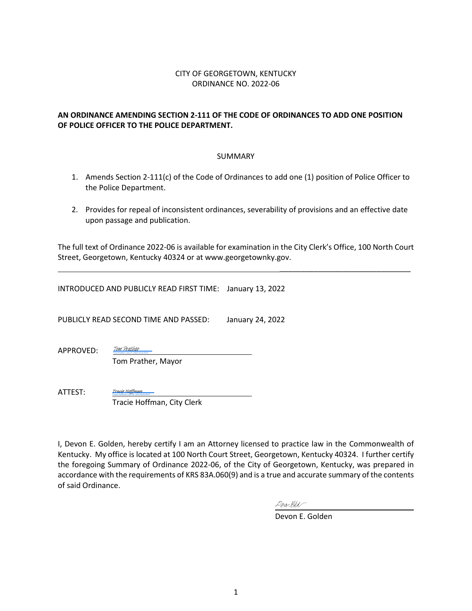#### CITY OF GEORGETOWN, KENTUCKY ORDINANCE NO. 2022-06

#### **AN ORDINANCE AMENDING SECTION 2-111 OF THE CODE OF ORDINANCES TO ADD ONE POSITION OF POLICE OFFICER TO THE POLICE DEPARTMENT.**

#### SUMMARY

- 1. Amends Section 2-111(c) of the Code of Ordinances to add one (1) position of Police Officer to the Police Department.
- 2. Provides for repeal of inconsistent ordinances, severability of provisions and an effective date upon passage and publication.

The full text of Ordinance 2022-06 is available for examination in the City Clerk's Office, 100 North Court Street, Georgetown, Kentucky 40324 or at www.georgetownky.gov.

INTRODUCED AND PUBLICLY READ FIRST TIME: January 13, 2022

PUBLICLY READ SECOND TIME AND PASSED: January 24, 2022

APPROVED:

 Tom Prather, Mayor Tom Prather (Jan 27, 2022 15:15 EST)

ATTEST: Tracie Hoffman, City Clerk Tracie Hoffman (Jan 28, 2022 08:00 MST) [Tracie Hoffman](https://na1.documents.adobe.com/verifier?tx=CBJCHBCAABAASj6xUqGrYc5MMSypNNTHqEYsDqjNcnsz)

[Tom Prather](https://na1.documents.adobe.com/verifier?tx=CBJCHBCAABAASj6xUqGrYc5MMSypNNTHqEYsDqjNcnsz)

I, Devon E. Golden, hereby certify I am an Attorney licensed to practice law in the Commonwealth of Kentucky. My office is located at 100 North Court Street, Georgetown, Kentucky 40324. I further certify the foregoing Summary of Ordinance 2022-06, of the City of Georgetown, Kentucky, was prepared in accordance with the requirements of KRS 83A.060(9) and is a true and accurate summary of the contents of said Ordinance.

Derarthed

Devon E. Golden

\_\_\_\_\_\_\_\_\_\_\_\_\_\_\_\_\_\_\_\_\_\_\_\_\_\_\_\_\_\_\_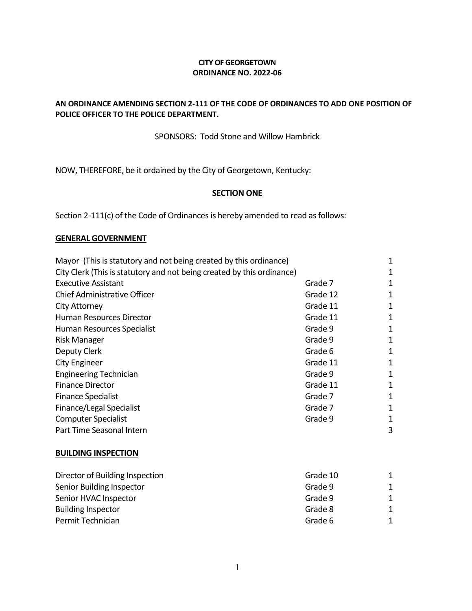#### **CITY OF GEORGETOWN ORDINANCE NO. 2022-06**

#### **AN ORDINANCE AMENDING SECTION 2-111 OF THE CODE OF ORDINANCES TO ADD ONE POSITION OF POLICE OFFICER TO THE POLICE DEPARTMENT.**

### SPONSORS: Todd Stone and Willow Hambrick

NOW, THEREFORE, be it ordained by the City of Georgetown, Kentucky:

#### **SECTION ONE**

Section 2-111(c) of the Code of Ordinances is hereby amended to read as follows:

#### **GENERAL GOVERNMENT**

| Mayor (This is statutory and not being created by this ordinance)      |          | 1           |
|------------------------------------------------------------------------|----------|-------------|
| City Clerk (This is statutory and not being created by this ordinance) |          | 1           |
| <b>Executive Assistant</b>                                             | Grade 7  | 1           |
| <b>Chief Administrative Officer</b>                                    | Grade 12 | 1           |
| City Attorney                                                          | Grade 11 | 1           |
| <b>Human Resources Director</b>                                        | Grade 11 | 1           |
| Human Resources Specialist                                             | Grade 9  | 1           |
| Risk Manager                                                           | Grade 9  | 1           |
| Deputy Clerk                                                           | Grade 6  | 1           |
| <b>City Engineer</b>                                                   | Grade 11 | 1           |
| <b>Engineering Technician</b>                                          | Grade 9  | 1           |
| <b>Finance Director</b>                                                | Grade 11 | 1           |
| <b>Finance Specialist</b>                                              | Grade 7  | 1           |
| Finance/Legal Specialist                                               | Grade 7  | $\mathbf 1$ |
| <b>Computer Specialist</b>                                             | Grade 9  | 1           |
| Part Time Seasonal Intern                                              |          | 3           |
| <b>BUILDING INSPECTION</b>                                             |          |             |
| Director of Building Inspection                                        | Grade 10 | 1           |
| Senior Building Inspector                                              | Grade 9  | 1           |

| uuu J   |  |
|---------|--|
| Grade 9 |  |
| Grade 8 |  |
| Grade 6 |  |
|         |  |

1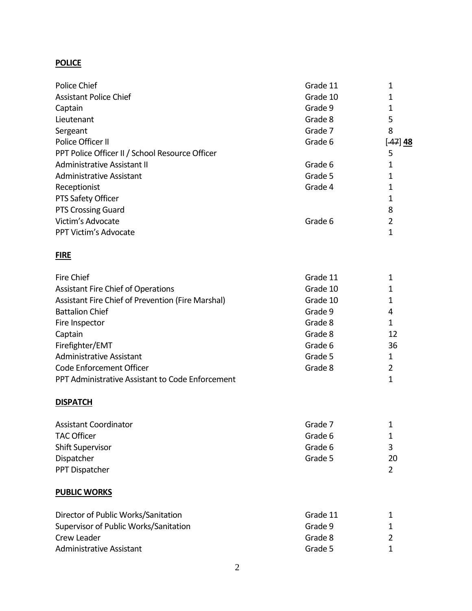### **POLICE**

| Police Chief                                      | Grade 11 | 1              |
|---------------------------------------------------|----------|----------------|
| <b>Assistant Police Chief</b>                     | Grade 10 | 1              |
| Captain                                           | Grade 9  | 1              |
| Lieutenant                                        | Grade 8  | 5              |
| Sergeant                                          | Grade 7  | 8              |
| Police Officer II                                 | Grade 6  | $[47]$ 48      |
| PPT Police Officer II / School Resource Officer   |          | 5              |
| <b>Administrative Assistant II</b>                | Grade 6  | 1              |
| <b>Administrative Assistant</b>                   | Grade 5  | 1              |
| Receptionist                                      | Grade 4  | 1              |
| PTS Safety Officer                                |          | 1              |
| <b>PTS Crossing Guard</b>                         |          | 8              |
| Victim's Advocate                                 | Grade 6  | 2              |
| PPT Victim's Advocate                             |          | $\mathbf 1$    |
| <b>FIRE</b>                                       |          |                |
| <b>Fire Chief</b>                                 | Grade 11 | 1              |
| <b>Assistant Fire Chief of Operations</b>         | Grade 10 | 1              |
| Assistant Fire Chief of Prevention (Fire Marshal) | Grade 10 | 1              |
| <b>Battalion Chief</b>                            | Grade 9  | 4              |
| Fire Inspector                                    | Grade 8  | 1              |
| Captain                                           | Grade 8  | 12             |
| Firefighter/EMT                                   | Grade 6  | 36             |
| <b>Administrative Assistant</b>                   | Grade 5  | 1              |
| Code Enforcement Officer                          | Grade 8  | 2              |
| PPT Administrative Assistant to Code Enforcement  |          | $\mathbf 1$    |
| <b>DISPATCH</b>                                   |          |                |
| <b>Assistant Coordinator</b>                      | Grade 7  | 1              |
| <b>TAC Officer</b>                                | Grade 6  | $\mathbf 1$    |
| <b>Shift Supervisor</b>                           | Grade 6  | 3              |
| Dispatcher                                        | Grade 5  | 20             |
| PPT Dispatcher                                    |          | $\overline{2}$ |
| <b>PUBLIC WORKS</b>                               |          |                |
| Director of Public Works/Sanitation               | Grade 11 | $\mathbf 1$    |
| Supervisor of Public Works/Sanitation             | Grade 9  | 1              |
| Crew Leader                                       | Grade 8  | 2              |

Administrative Assistant 1 and 1 and 2 and 2 and 2 and 3 and 4 and 4 and 4 and 4 and 4 and 4 and 4 and 4 and 4 and 4 and 4 and 4 and 4 and 4 and 4 and 4 and 4 and 4 and 4 and 4 and 4 and 4 and 4 and 4 and 4 and 4 and 4 and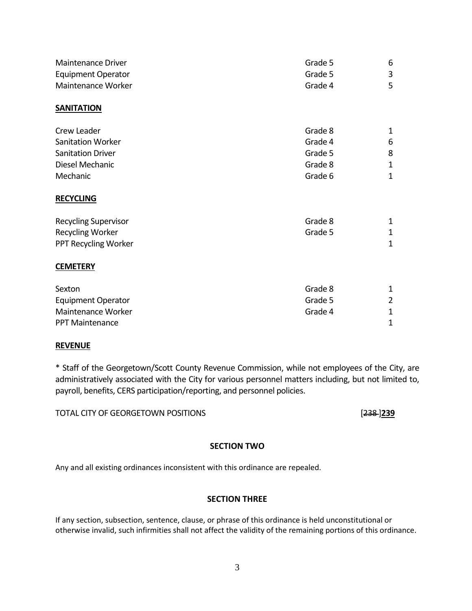| <b>Maintenance Driver</b>   | Grade 5 | 6              |  |
|-----------------------------|---------|----------------|--|
| <b>Equipment Operator</b>   | Grade 5 |                |  |
| Maintenance Worker          | Grade 4 | 5              |  |
| <b>SANITATION</b>           |         |                |  |
| Crew Leader                 | Grade 8 | 1              |  |
| Sanitation Worker           | Grade 4 | 6              |  |
| <b>Sanitation Driver</b>    | Grade 5 | 8              |  |
| Diesel Mechanic             | Grade 8 | 1              |  |
| Mechanic                    | Grade 6 | $\mathbf 1$    |  |
| <b>RECYCLING</b>            |         |                |  |
| <b>Recycling Supervisor</b> | Grade 8 | $\mathbf 1$    |  |
| <b>Recycling Worker</b>     | Grade 5 |                |  |
| PPT Recycling Worker        |         | $\mathbf{1}$   |  |
| <b>CEMETERY</b>             |         |                |  |
| Sexton                      | Grade 8 | 1              |  |
| <b>Equipment Operator</b>   | Grade 5 | $\overline{2}$ |  |
| Maintenance Worker          | Grade 4 | $\mathbf 1$    |  |
| <b>PPT Maintenance</b>      |         | 1              |  |

#### **REVENUE**

\* Staff of the Georgetown/Scott County Revenue Commission, while not employees of the City, are administratively associated with the City for various personnel matters including, but not limited to, payroll, benefits, CERS participation/reporting, and personnel policies.

TOTAL CITY OF GEORGETOWN POSITIONS [238 ]**239**

#### **SECTION TWO**

Any and all existing ordinances inconsistent with this ordinance are repealed.

#### **SECTION THREE**

If any section, subsection, sentence, clause, or phrase of this ordinance is held unconstitutional or otherwise invalid, such infirmities shall not affect the validity of the remaining portions of this ordinance.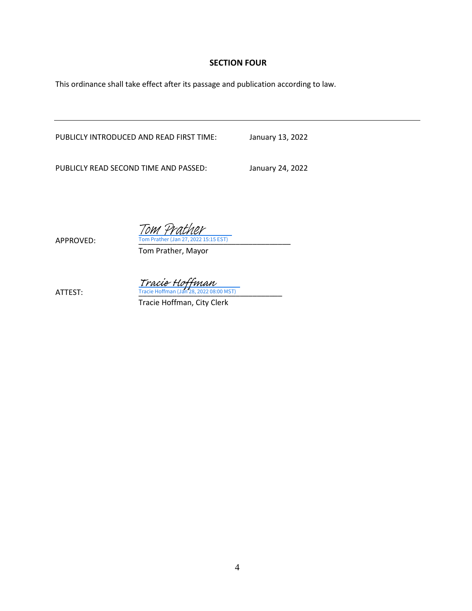#### **SECTION FOUR**

This ordinance shall take effect after its passage and publication according to law.

PUBLICLY INTRODUCED AND READ FIRST TIME: January 13, 2022

PUBLICLY READ SECOND TIME AND PASSED: January 24, 2022

 $\frac{Trace\; H\text{C}$  Hoffman (Jan 28, 2022 08:00 MST)

APPROVED: Tom Prather (Jan 27, 2022 15:15 EST) Tom Prather, Mayor

Tom Prather

Tracie Hoffman, City Clerk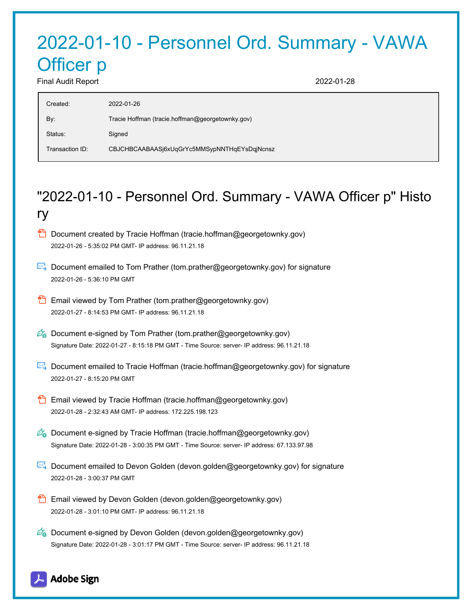# 2022-01-10 - Personnel Ord. Summary - VAWA Officer p Final Audit Report 2022-01-28

| Tracie Hoffman (tracie.hoffman@georgetownky.gov)<br>By:<br>Status:<br>Signed | Created:        | 2022-01-26                                   |
|------------------------------------------------------------------------------|-----------------|----------------------------------------------|
|                                                                              |                 |                                              |
|                                                                              |                 |                                              |
|                                                                              | Transaction ID: | CBJCHBCAABAASj6xUqGrYc5MMSypNNTHqEYsDqjNcnsz |

# "2022-01-10 - Personnel Ord. Summary - VAWA Officer p" Histo ry

- **D** Document created by Tracie Hoffman (tracie.hoffman@georgetownky.gov) 2022-01-26 - 5:35:02 PM GMT- IP address: 96.11.21.18
- Document emailed to Tom Prather (tom.prather@georgetownky.gov) for signature 2022-01-26 - 5:36:10 PM GMT
- Email viewed by Tom Prather (tom.prather@georgetownky.gov) 2022-01-27 - 8:14:53 PM GMT- IP address: 96.11.21.18
- $\mathcal{O}_\bullet$  Document e-signed by Tom Prather (tom.prather@georgetownky.gov) Signature Date: 2022-01-27 - 8:15:18 PM GMT - Time Source: server- IP address: 96.11.21.18
- Document emailed to Tracie Hoffman (tracie.hoffman@georgetownky.gov) for signature 2022-01-27 - 8:15:20 PM GMT
- **Email viewed by Tracie Hoffman (tracie.hoffman@georgetownky.gov)** 2022-01-28 - 2:32:43 AM GMT- IP address: 172.225.198.123
- $\mathcal{O}_0$  Document e-signed by Tracie Hoffman (tracie.hoffman@georgetownky.gov) Signature Date: 2022-01-28 - 3:00:35 PM GMT - Time Source: server- IP address: 67.133.97.98
- **Document emailed to Devon Golden (devon.golden@georgetownky.gov) for signature** 2022-01-28 - 3:00:37 PM GMT
- Email viewed by Devon Golden (devon.golden@georgetownky.gov) 2022-01-28 - 3:01:10 PM GMT- IP address: 96.11.21.18
- $\mathscr{A}_{\bullet}$  Document e-signed by Devon Golden (devon.golden@georgetownky.gov) Signature Date: 2022-01-28 - 3:01:17 PM GMT - Time Source: server- IP address: 96.11.21.18

## Adobe Sign